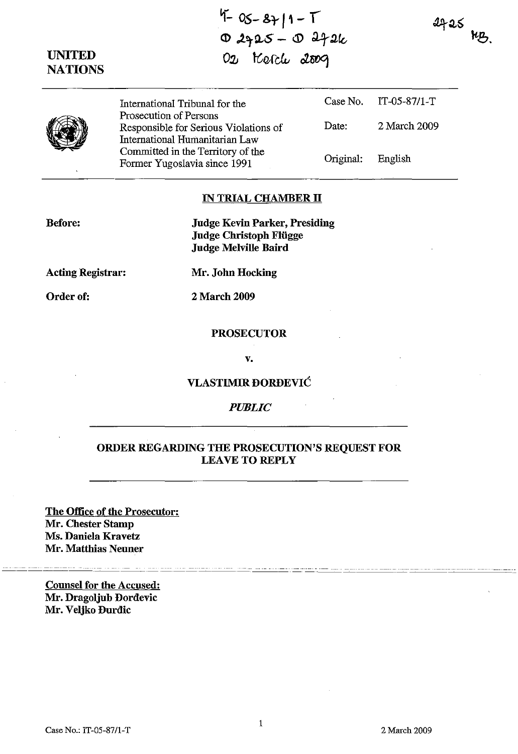$4-05-87$  | 1 - T  $02925 - 0272k$ 02 Kerch 2009

 $4725$  kg.



UNITED **NATIONS** 

> International Tribunal for the Prosecution of Persons Responsible for Serious Violations of International Humanitarian Law Committed in the Territory of the Former Yugoslavia since 1991 Case No. IT-05-87/l-T Date: 2 March 2009 Original: English

### IN TRIAL CHAMBER **II**

Before:

Judge Kevin Parker, Presiding Judge Christoph Fliigge Judge Melville Baird

Acting Registrar:

Mr. John Hocking

Order of:

2 March 2009

#### **PROSECUTOR**

v.

#### VLASTIMIR DORDEVIC

## *PUBLIC*

# ORDER REGARDING THE PROSECUTION'S REQUEST FOR LEAVE TO REPLY

The Office of the Prosecutor: Mr. Chester Stamp Ms. Daniela Kravetz Mr. Matthias Neuner --- ------------ - - -- --- - -- -------- -----------------

Counsel for the Accused: Mr. Dragoljub Dordevic Mr. Veljko Durdic

~\_\_\_'\_\_-=-=--- ---=-=--'C-\_-'C--=---=--,--=--'-=----'--~